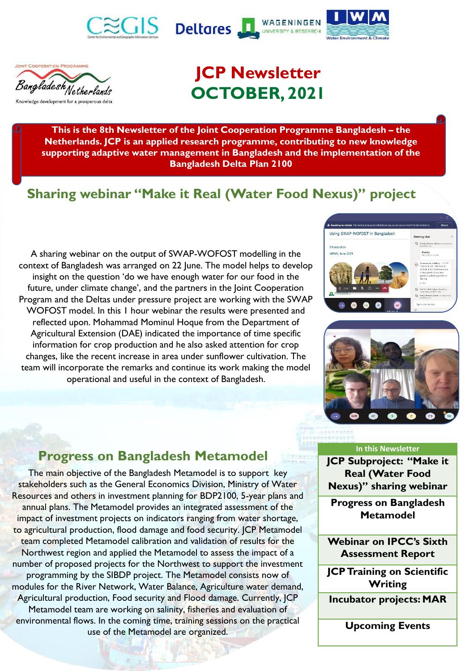







# **JCP Newsletter OCTOBER, 2021**

**This is the 8th Newsletter of the Joint Cooperation Programme Bangladesh – the Netherlands. JCP is an applied research programme, contributing to new knowledge supporting adaptive water management in Bangladesh and the implementation of the Bangladesh Delta Plan 2100**

## **Sharing webinar "Make it Real (Water Food Nexus)" project**

A sharing webinar on the output of SWAP-WOFOST modelling in the context of Bangladesh was arranged on 22 June. The model helps to develop insight on the question 'do we have enough water for our food in the future, under climate change', and the partners in the Joint Cooperation Program and the Deltas under pressure project are working with the SWAP WOFOST model. In this 1 hour webinar the results were presented and reflected upon. Mohammad Mominul Hoque from the Department of Agricultural Extension (DAE) indicated the importance of time specific information for crop production and he also asked attention for crop changes, like the recent increase in area under sunflower cultivation. The team will incorporate the remarks and continue its work making the model operational and useful in the context of Bangladesh.





#### **Progress on Bangladesh Metamodel**

The main objective of the Bangladesh Metamodel is to support key stakeholders such as the General Economics Division, Ministry of Water Resources and others in investment planning for BDP2100, 5-year plans and annual plans. The Metamodel provides an integrated assessment of the impact of investment projects on indicators ranging [fr](http://jcpbd.nl/contactus.php)om water shortage, to agricultural production, flood damage and food security. JCP Metamodel team completed Metamodel calibration and validation of results for the Northwest region and applied the Metamodel to assess the impact of a number of proposed projects for the Northwest to support the investment programming by the SIBDP project. The Metamodel consists now of modules for the River Network, Water Balance, Agriculture water demand, Agricultural production, Food security and Flood damage. Currently, JCP Metamodel team are working on salinity, fisheries and evaluation of environmental flows. In the coming time, training sessions on the practical use of the Metamodel are organized.

#### **In this Newsletter**

**JCP Subproject: "Make it Real (Water Food Nexus)" sharing webinar**

**Progress on Bangladesh Metamodel**

**Webinar on IPCC's Sixth Assessment Report**

**JCP Training on Scientific Writing**

**Incubator projects: MAR**

**Upcoming Events**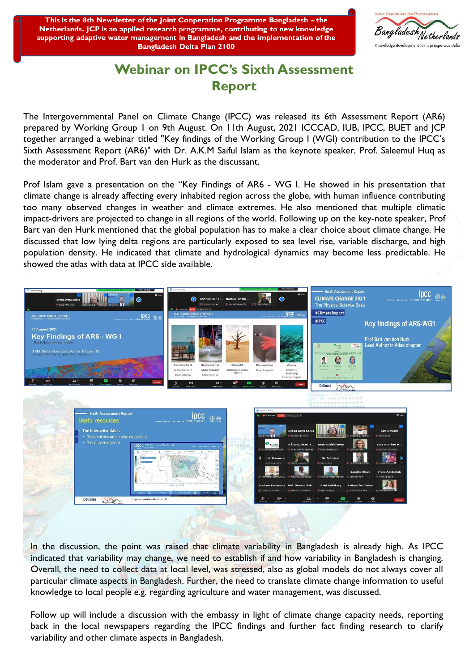This is the 8th Newsletter of the Joint Cooperation Programme Bangladesh - the Netherlands. JCP is an applied research programme, contributing to new knowledge supporting adaptive water management in Bangladesh and the implementation of the **Bangladesh Delta Plan 2100** 



#### **Webinar on IPCC's Sixth Assessment Report**

The Intergovernmental Panel on Climate Change (IPCC) was released its 6th Assessment Report (AR6) prepared by Working Group 1 on 9th August. On 11th August, 2021 ICCCAD, IUB, IPCC, BUET and JCP together arranged a webinar titled "Key findings of the Working Group I (WGI) contribution to the IPCC's Sixth Assessment Report (AR6)" with Dr. A.K.M Saiful Islam as the keynote speaker, Prof. Saleemul Huq as the moderator and Prof. Bart van den Hurk as the discussant.

Prof Islam gave a presentation on the "Key Findings of AR6 - WG I. He showed in his presentation that climate change is already affecting every inhabited region across the globe, with human influence contributing too many observed changes in weather and climate extremes. He also mentioned that multiple climatic impact-drivers are projected to change in all regions of the world. Following up on the key-note speaker, Prof Bart van den Hurk mentioned that the global population has to make a clear choice about climate change. He discussed that low lying delta regions are particularly exposed to sea level rise, variable discharge, and high population density. He indicated that climate and hydrological dynamics may become less predictable. He showed the atlas with data at IPCC side available.



In the discussion, the point was raised that climate variability in Bangladesh is already high. As IPCC indicated that variability may change, we need to establish if and how variability in Bangladesh is changing. Overall, the need to collect data at local level, was stressed, also as global models do not always cover all particular climate aspects in Bangladesh. Further, the need to translate climate change information to useful knowledge to local people e.g. regarding agriculture and water management, was discussed.

Follow up will include a discussion with the embassy in light of climate change capacity needs, reporting back in the local newspapers regarding the IPCC findings and further fact finding research to clarify variability and other climate aspects in Bangladesh.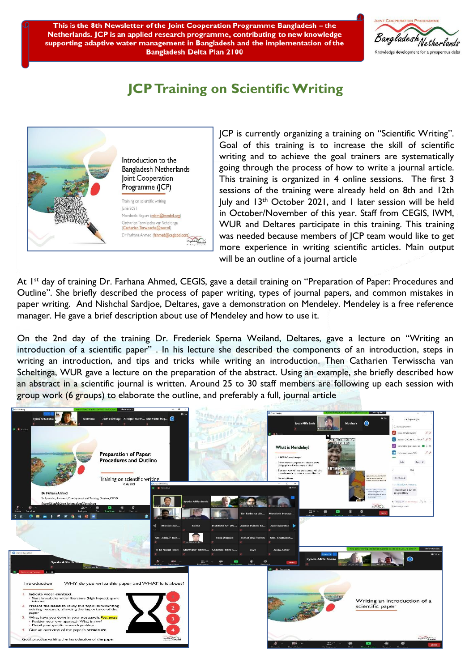This is the 8th Newsletter of the Joint Cooperation Programme Bangladesh – the Netherlands. JCP is an applied research programme, contributing to new knowledge supporting adaptive water management in Bangladesh and the implementation of the **Bangladesh Delta Plan 2100** 



#### **JCP Training on Scientific Writing**



JCP is currently organizing a training on "Scientific Writing". Goal of this training is to increase the skill of scientific writing and to achieve the goal trainers are systematically going through the process of how to write a journal article. This training is organized in 4 online sessions. The first 3 sessions of the training were already held on 8th and 12th luly and 13<sup>th</sup> October 2021, and 1 later session will be held in October/November of this year. Staff from CEGIS, IWM, WUR and Deltares participate in this training. This training was needed because members of JCP team would like to get more experience in writing scientific articles. Main output will be an outline of a journal article.

At 1<sup>st</sup> day of training Dr. Farhana Ahmed, CEGIS, gave a detail training on "Preparation of Paper: Procedures and Outline". She briefly described the process of paper writing, types of journal papers, and common mistakes in paper writing. And Nishchal Sardjoe, Deltares, gave a demonstration on Mendeley. Mendeley is a free reference manager. He gave a brief description about use of Mendeley and how to use it.

On the 2nd day of the training Dr. Frederiek Sperna Weiland, Deltares, gave a lecture on "Writing an introduction of a scientific paper" . In his lecture she described the components of an introduction, steps in writing an introduction, and tips and tricks while writing an introduction. Then Catharien Terwisscha van Scheltinga, WUR gave a lecture on the preparation of the abstract. Using an example, she briefly described how an abstract in a scientific journal is written. Around 25 to 30 staff members are following up each session with group work (6 groups) to elaborate the outline, and preferably a full, journal article